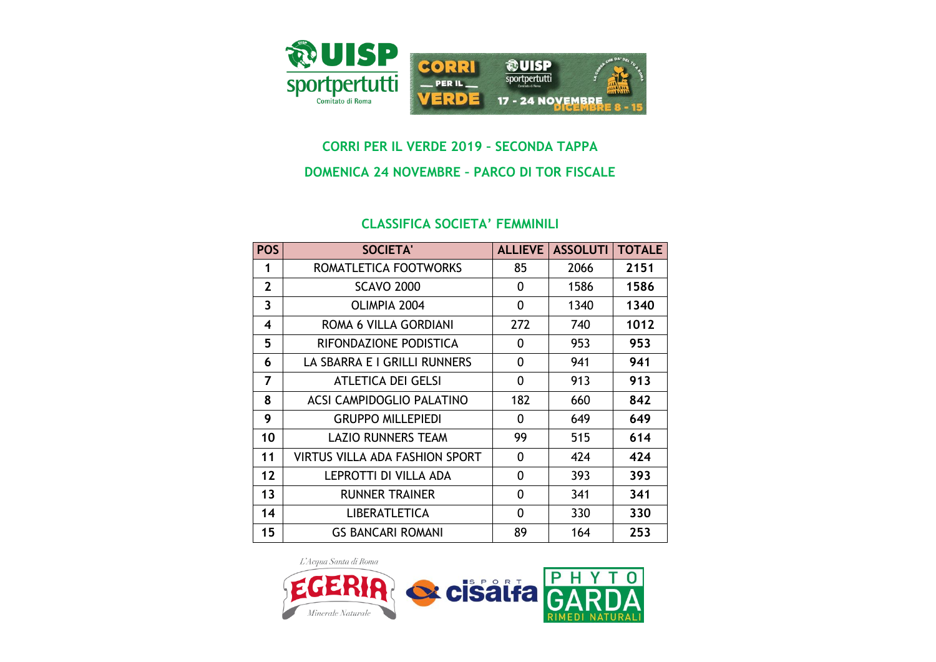

## **CORRI PER IL VERDE 2019 – SECONDA TAPPA**

## **DOMENICA 24 NOVEMBRE – PARCO DI TOR FISCALE**

## **CLASSIFICA SOCIETA' FEMMINILI**

| <b>POS</b>   | <b>SOCIETA'</b>                       | <b>ALLIEVE</b> | <b>ASSOLUTI</b> | <b>TOTALE</b> |
|--------------|---------------------------------------|----------------|-----------------|---------------|
| 1            | ROMATLETICA FOOTWORKS                 | 85             | 2066            | 2151          |
| $\mathbf{2}$ | <b>SCAVO 2000</b>                     | 0              | 1586            | 1586          |
| 3            | OLIMPIA 2004                          | 0              | 1340            | 1340          |
| 4            | ROMA 6 VILLA GORDIANI                 | 272            | 740             | 1012          |
| 5            | RIFONDAZIONE PODISTICA                | 0              | 953             | 953           |
| 6            | LA SBARRA E I GRILLI RUNNERS          | 0              | 941             | 941           |
| 7            | ATLETICA DEI GELSI                    | 0              | 913             | 913           |
| 8            | ACSI CAMPIDOGLIO PALATINO             | 182            | 660             | 842           |
| 9            | <b>GRUPPO MILLEPIEDI</b>              | 0              | 649             | 649           |
| 10           | <b>LAZIO RUNNERS TEAM</b>             | 99             | 515             | 614           |
| 11           | <b>VIRTUS VILLA ADA FASHION SPORT</b> | 0              | 424             | 424           |
| 12           | LEPROTTI DI VILLA ADA                 | 0              | 393             | 393           |
| 13           | <b>RUNNER TRAINER</b>                 | 0              | 341             | 341           |
| 14           | <b>LIBERATLETICA</b>                  | 0              | 330             | 330           |
| 15           | <b>GS BANCARI ROMANI</b>              | 89             | 164             | 253           |

L'Acqua Santa di Roma